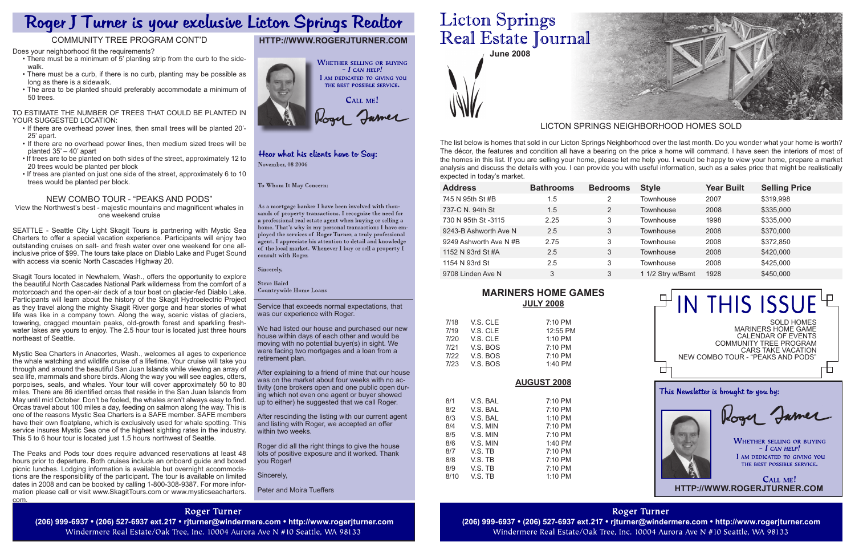| <b>Bathrooms</b> | <b>Bedrooms</b> | <b>Style</b>      | <b>Year Built</b> | <b>Selling Price</b> |
|------------------|-----------------|-------------------|-------------------|----------------------|
| 1.5              | 2               | Townhouse         | 2007              | \$319,998            |
| 1.5              | 2               | Townhouse         | 2008              | \$335,000            |
| 2.25             | 3               | Townhouse         | 1998              | \$335,000            |
| 2.5              | 3               | <b>Townhouse</b>  | 2008              | \$370,000            |
| 2.75             | 3               | Townhouse         | 2008              | \$372,850            |
| 2.5              | 3               | Townhouse         | 2008              | \$420,000            |
| 2.5              | 3               | <b>Townhouse</b>  | 2008              | \$425,000            |
| 3                | 3               | 1 1/2 Stry w/Bsmt | 1928              | \$450,000            |
|                  |                 |                   |                   |                      |

**June 2008**

Service that exceeds normal expectations, that was our experience with Roger.

We had listed our house and purchased our new house within days of each other and would be moving with no potential buyer(s) in sight. We were facing two mortgages and a loan from a retirement plan.

After explaining to a friend of mine that our house was on the market about four weeks with no activity (one brokers open and one public open during which not even one agent or buyer showed up to either) he suggested that we call Roger.

After rescinding the listing with our current agent and listing with Roger, we accepted an offer within two weeks.

Roger did all the right things to give the house lots of positive exposure and it worked. Thank you Roger!

Sincerely,

Peter and Moira Tueffers

# **Licton Springs** Real Estate Journal

The list below is homes that sold in our Licton Springs Neighborhood over the last month. Do you wonder what your home is worth? The décor, the features and condition all have a bearing on the price a home will command. I have seen the interiors of most of the homes in this list. If you are selling your home, please let me help you. I would be happy to view your home, prepare a market analysis and discuss the details with you. I can provide you with useful information, such as a sales price that might be realistically expected in today's market.

# LICTON SPRINGS NEIGHBORHOOD HOMES SOLD

# **http://www.rogerjturner.com**



## Hear what his clients have to Say: November, 08 2006

To Whom It May Concern:

As a mortgage banker I have been involved with thousands of property transactions. I recognize the need for a professional real estate agent when buying or selling a home. That's why in my personal transactions I have employed the services of Roger Turner, a truly professional agent. I appreciate his attention to detail and knowledge of the local market. Whenever I buy or sell a property  $\check{\rm I}$ consult with Roger.

Sincerely,

**Steve Baird** Countrywide Home Loans

Does your neighborhood fit the requirements?

- There must be a minimum of 5' planting strip from the curb to the sidewalk.
- There must be a curb, if there is no curb, planting may be possible as long as there is a sidewalk.
- The area to be planted should preferably accommodate a minimum of 50 trees.

#### To estimate the number of trees that could be planted in your suggested location:

- If there are overhead power lines, then small trees will be planted 20'- 25' apart.
- If there are no overhead power lines, then medium sized trees will be planted 35' – 40' apart
- If trees are to be planted on both sides of the street, approximately 12 to 20 trees would be planted per block
- If trees are planted on just one side of the street, approximately 6 to 10 trees would be planted per block.

# New Combo Tour - "Peaks and Pods"

View the Northwest's best - majestic mountains and magnificent whales in one weekend cruise

SEATTLE - Seattle City Light Skagit Tours is partnering with Mystic Sea Charters to offer a special vacation experience. Participants will enjoy two outstanding cruises on salt- and fresh water over one weekend for one allinclusive price of \$99. The tours take place on Diablo Lake and Puget Sound with access via scenic North Cascades Highway 20.



Skagit Tours located in Newhalem, Wash., offers the opportunity to explore the beautiful North Cascades National Park wilderness from the comfort of a motorcoach and the open-air deck of a tour boat on glacier-fed Diablo Lake. Participants will learn about the history of the Skagit Hydroelectric Project as they travel along the mighty Skagit River gorge and hear stories of what life was like in a company town. Along the way, scenic vistas of glaciers, towering, cragged mountain peaks, old-growth forest and sparkling freshwater lakes are yours to enjoy. The 2.5 hour tour is located just three hours northeast of Seattle.

Mystic Sea Charters in Anacortes, Wash., welcomes all ages to experience the whale watching and wildlife cruise of a lifetime. Your cruise will take you through and around the beautiful San Juan Islands while viewing an array of sea life, mammals and shore birds. Along the way you will see eagles, otters, porpoises, seals, and whales. Your tour will cover approximately 50 to 80 miles. There are 86 identified orcas that reside in the San Juan Islands from May until mid October. Don't be fooled, the whales aren't always easy to find. Orcas travel about 100 miles a day, feeding on salmon along the way. This is one of the reasons Mystic Sea Charters is a SAFE member. SAFE members have their own floatplane, which is exclusively used for whale spotting. This service insures Mystic Sea one of the highest sighting rates in the industry. This 5 to 6 hour tour is located just 1.5 hours northwest of Seattle.

The Peaks and Pods tour does require advanced reservations at least 48 hours prior to departure. Both cruises include an onboard guide and boxed picnic lunches. Lodging information is available but overnight accommodations are the responsibility of the participant. The tour is available on limited dates in 2008 and can be booked by calling 1-800-308-9387. For more information please call or visit www.SkagitTours.com or www.mysticseacharters. com.

# Roger J Turner is your exclusive Licton Springs Realtor

# Community Tree Program Cont'd

# **Mariners Home Games July 2008**

| 7/18 | V.S. CLE | 7:10 PM  |
|------|----------|----------|
| 7/19 | V.S. CLE | 12:55 PM |
| 7/20 | V.S. CLE | 1:10 PM  |
| 7/21 | V.S. BOS | 7:10 PM  |
| 7/22 | V.S. BOS | 7:10 PM  |
| 7/23 | V.S. BOS | 1:40 PM  |

# **AUGust 2008**

| 8/1  | V.S. BAL | $7:10 \text{ PM}$ |
|------|----------|-------------------|
| 8/2  | V.S. BAL | $7:10 \text{ PM}$ |
| 8/3  | V.S. BAL | $1:10$ PM         |
| 8/4  | V.S. MIN | $7:10 \text{ PM}$ |
| 8/5  | V.S. MIN | $7:10 \text{ PM}$ |
| 8/6  | V.S. MIN | 1:40 PM           |
| 8/7  | V.S. TB  | $7:10 \text{ PM}$ |
| 8/8  | V.S. TB  | $7:10 \text{ PM}$ |
| 8/9  | V.S. TB  | $7:10 \text{ PM}$ |
| 8/10 | V.S. TB  | 1:10 PM           |

**Roger Turner** Windermere Real Estate/Oak Tree, Inc. 10004 Aurora Ave N #10 Seattle, WA 98133

**Roger Turner** 

(206) 999-6937 • (206) 527-6937 ext.217 • rjturner@windermere.com • http://www.rogerjturner.com (206) 999-6937 • (206) 527-6937 ext.217 • rjturner@windermere.com • http://www.rogerjturner.com (206) 999-6937 • (206) 527-693 Windermere Real Estate/Oak Tree, Inc. 10004 Aurora Ave N #10 Seattle, WA 98133